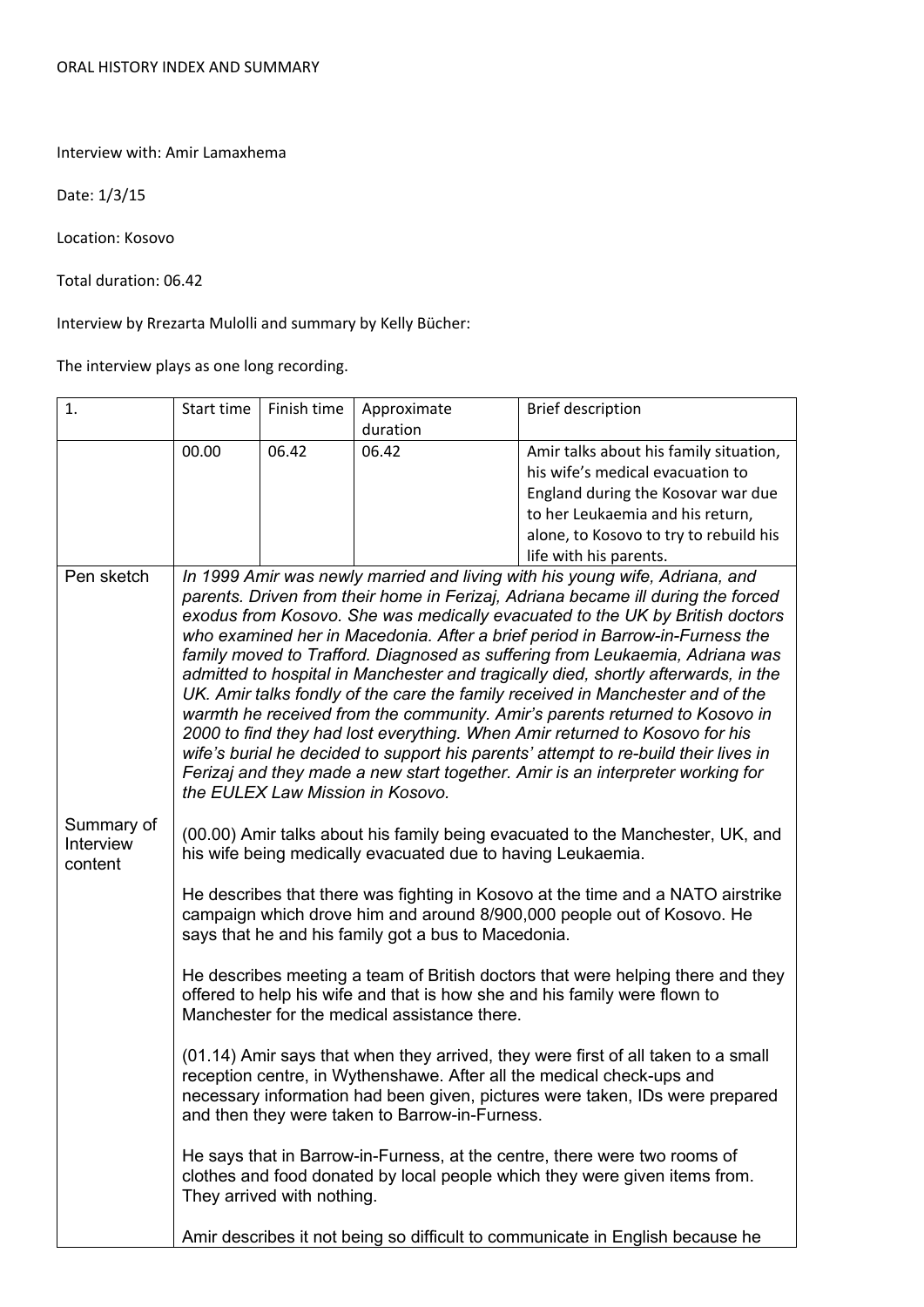Interview with: Amir Lamaxhema

Date: 1/3/15

Location: Kosovo

Total duration: 06.42

Interview by Rrezarta Mulolli and summary by Kelly Bücher:

The interview plays as one long recording.

| $\mathbf{1}$ .                     | Start time                                                                                                                                                                                                                                                                                                                                                                                                                                                                                                                                                                                                                                                                                                                                                                                                                                                                                                                                                         | Finish time | Approximate | <b>Brief description</b>               |  |
|------------------------------------|--------------------------------------------------------------------------------------------------------------------------------------------------------------------------------------------------------------------------------------------------------------------------------------------------------------------------------------------------------------------------------------------------------------------------------------------------------------------------------------------------------------------------------------------------------------------------------------------------------------------------------------------------------------------------------------------------------------------------------------------------------------------------------------------------------------------------------------------------------------------------------------------------------------------------------------------------------------------|-------------|-------------|----------------------------------------|--|
|                                    |                                                                                                                                                                                                                                                                                                                                                                                                                                                                                                                                                                                                                                                                                                                                                                                                                                                                                                                                                                    |             | duration    |                                        |  |
|                                    | 00.00                                                                                                                                                                                                                                                                                                                                                                                                                                                                                                                                                                                                                                                                                                                                                                                                                                                                                                                                                              | 06.42       | 06.42       | Amir talks about his family situation, |  |
|                                    |                                                                                                                                                                                                                                                                                                                                                                                                                                                                                                                                                                                                                                                                                                                                                                                                                                                                                                                                                                    |             |             | his wife's medical evacuation to       |  |
|                                    |                                                                                                                                                                                                                                                                                                                                                                                                                                                                                                                                                                                                                                                                                                                                                                                                                                                                                                                                                                    |             |             | England during the Kosovar war due     |  |
|                                    |                                                                                                                                                                                                                                                                                                                                                                                                                                                                                                                                                                                                                                                                                                                                                                                                                                                                                                                                                                    |             |             | to her Leukaemia and his return,       |  |
|                                    |                                                                                                                                                                                                                                                                                                                                                                                                                                                                                                                                                                                                                                                                                                                                                                                                                                                                                                                                                                    |             |             | alone, to Kosovo to try to rebuild his |  |
|                                    |                                                                                                                                                                                                                                                                                                                                                                                                                                                                                                                                                                                                                                                                                                                                                                                                                                                                                                                                                                    |             |             | life with his parents.                 |  |
| Pen sketch                         | In 1999 Amir was newly married and living with his young wife, Adriana, and<br>parents. Driven from their home in Ferizaj, Adriana became ill during the forced<br>exodus from Kosovo. She was medically evacuated to the UK by British doctors<br>who examined her in Macedonia. After a brief period in Barrow-in-Furness the<br>family moved to Trafford. Diagnosed as suffering from Leukaemia, Adriana was<br>admitted to hospital in Manchester and tragically died, shortly afterwards, in the<br>UK. Amir talks fondly of the care the family received in Manchester and of the<br>warmth he received from the community. Amir's parents returned to Kosovo in<br>2000 to find they had lost everything. When Amir returned to Kosovo for his<br>wife's burial he decided to support his parents' attempt to re-build their lives in<br>Ferizaj and they made a new start together. Amir is an interpreter working for<br>the EULEX Law Mission in Kosovo. |             |             |                                        |  |
| Summary of<br>Interview<br>content | (00.00) Amir talks about his family being evacuated to the Manchester, UK, and<br>his wife being medically evacuated due to having Leukaemia.                                                                                                                                                                                                                                                                                                                                                                                                                                                                                                                                                                                                                                                                                                                                                                                                                      |             |             |                                        |  |
|                                    | He describes that there was fighting in Kosovo at the time and a NATO airstrike<br>campaign which drove him and around 8/900,000 people out of Kosovo. He<br>says that he and his family got a bus to Macedonia.                                                                                                                                                                                                                                                                                                                                                                                                                                                                                                                                                                                                                                                                                                                                                   |             |             |                                        |  |
|                                    | He describes meeting a team of British doctors that were helping there and they<br>offered to help his wife and that is how she and his family were flown to<br>Manchester for the medical assistance there.                                                                                                                                                                                                                                                                                                                                                                                                                                                                                                                                                                                                                                                                                                                                                       |             |             |                                        |  |
|                                    | (01.14) Amir says that when they arrived, they were first of all taken to a small<br>reception centre, in Wythenshawe. After all the medical check-ups and<br>necessary information had been given, pictures were taken, IDs were prepared<br>and then they were taken to Barrow-in-Furness.                                                                                                                                                                                                                                                                                                                                                                                                                                                                                                                                                                                                                                                                       |             |             |                                        |  |
|                                    | He says that in Barrow-in-Furness, at the centre, there were two rooms of<br>clothes and food donated by local people which they were given items from.<br>They arrived with nothing.                                                                                                                                                                                                                                                                                                                                                                                                                                                                                                                                                                                                                                                                                                                                                                              |             |             |                                        |  |
|                                    | Amir describes it not being so difficult to communicate in English because he                                                                                                                                                                                                                                                                                                                                                                                                                                                                                                                                                                                                                                                                                                                                                                                                                                                                                      |             |             |                                        |  |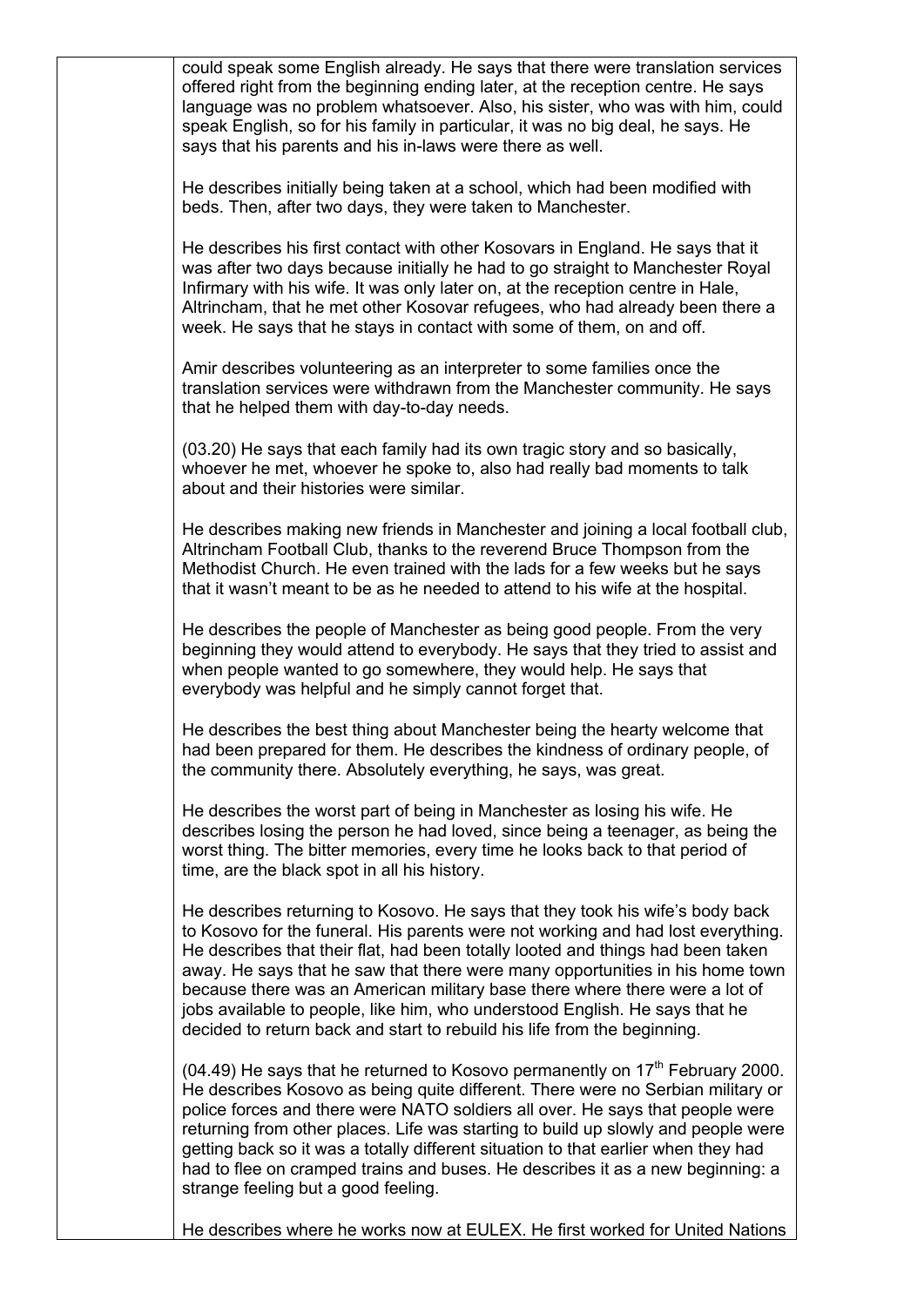could speak some English already. He says that there were translation services offered right from the beginning ending later, at the reception centre. He says language was no problem whatsoever. Also, his sister, who was with him, could speak English, so for his family in particular, it was no big deal, he says. He says that his parents and his in-laws were there as well.

He describes initially being taken at a school, which had been modified with beds. Then, after two days, they were taken to Manchester.

He describes his first contact with other Kosovars in England. He says that it was after two days because initially he had to go straight to Manchester Royal Infirmary with his wife. It was only later on, at the reception centre in Hale, Altrincham, that he met other Kosovar refugees, who had already been there a week. He says that he stays in contact with some of them, on and off.

Amir describes volunteering as an interpreter to some families once the translation services were withdrawn from the Manchester community. He says that he helped them with day-to-day needs.

(03.20) He says that each family had its own tragic story and so basically, whoever he met, whoever he spoke to, also had really bad moments to talk about and their histories were similar.

He describes making new friends in Manchester and joining a local football club, Altrincham Football Club, thanks to the reverend Bruce Thompson from the Methodist Church. He even trained with the lads for a few weeks but he says that it wasn't meant to be as he needed to attend to his wife at the hospital.

He describes the people of Manchester as being good people. From the very beginning they would attend to everybody. He says that they tried to assist and when people wanted to go somewhere, they would help. He says that everybody was helpful and he simply cannot forget that.

He describes the best thing about Manchester being the hearty welcome that had been prepared for them. He describes the kindness of ordinary people, of the community there. Absolutely everything, he says, was great.

He describes the worst part of being in Manchester as losing his wife. He describes losing the person he had loved, since being a teenager, as being the worst thing. The bitter memories, every time he looks back to that period of time, are the black spot in all his history.

He describes returning to Kosovo. He says that they took his wife's body back to Kosovo for the funeral. His parents were not working and had lost everything. He describes that their flat, had been totally looted and things had been taken away. He says that he saw that there were many opportunities in his home town because there was an American military base there where there were a lot of jobs available to people, like him, who understood English. He says that he decided to return back and start to rebuild his life from the beginning.

(04.49) He says that he returned to Kosovo permanently on  $17<sup>th</sup>$  February 2000. He describes Kosovo as being quite different. There were no Serbian military or police forces and there were NATO soldiers all over. He says that people were returning from other places. Life was starting to build up slowly and people were getting back so it was a totally different situation to that earlier when they had had to flee on cramped trains and buses. He describes it as a new beginning: a strange feeling but a good feeling.

He describes where he works now at EULEX. He first worked for United Nations